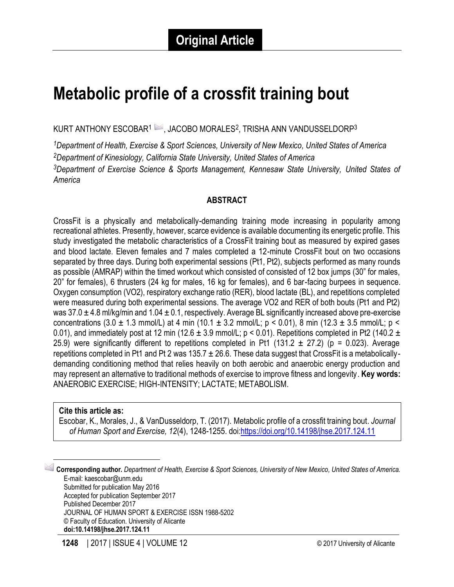# **Metabolic profile of a crossfit training bout**

KURT ANTHONY ESCOBAR $^1$   $\blacktriangleright$  , JACOBO MORALES $^2$ , TRISHA ANN VANDUSSELDORP $^3$ 

*Department of Health, Exercise & Sport Sciences, University of New Mexico, United States of America Department of Kinesiology, California State University, United States of America Department of Exercise Science & Sports Management, Kennesaw State University, United States of America*

#### **ABSTRACT**

CrossFit is a physically and metabolically-demanding training mode increasing in popularity among recreational athletes. Presently, however, scarce evidence is available documenting its energetic profile. This study investigated the metabolic characteristics of a CrossFit training bout as measured by expired gases and blood lactate. Eleven females and 7 males completed a 12-minute CrossFit bout on two occasions separated by three days. During both experimental sessions (Pt1, Pt2), subjects performed as many rounds as possible (AMRAP) within the timed workout which consisted of consisted of 12 box jumps (30" for males, 20" for females), 6 thrusters (24 kg for males, 16 kg for females), and 6 bar-facing burpees in sequence. Oxygen consumption (VO2), respiratory exchange ratio (RER), blood lactate (BL), and repetitions completed were measured during both experimental sessions. The average VO2 and RER of both bouts (Pt1 and Pt2) was 37.0  $\pm$  4.8 ml/kg/min and 1.04  $\pm$  0.1, respectively. Average BL significantly increased above pre-exercise concentrations (3.0  $\pm$  1.3 mmol/L) at 4 min (10.1  $\pm$  3.2 mmol/L; p < 0.01), 8 min (12.3  $\pm$  3.5 mmol/L; p < 0.01), and immediately post at 12 min (12.6  $\pm$  3.9 mmol/L; p < 0.01). Repetitions completed in Pt2 (140.2  $\pm$ 25.9) were significantly different to repetitions completed in Pt1 (131.2  $\pm$  27.2) (p = 0.023). Average repetitions completed in Pt1 and Pt 2 was 135.7  $\pm$  26.6. These data suggest that CrossFit is a metabolicallydemanding conditioning method that relies heavily on both aerobic and anaerobic energy production and may represent an alternative to traditional methods of exercise to improve fitness and longevity. **Key words:** ANAEROBIC EXERCISE; HIGH-INTENSITY; LACTATE; METABOLISM.

#### **Cite this article as:**

 $\overline{\phantom{a}}$ 

Escobar, K., Morales, J., & VanDusseldorp, T. (2017). Metabolic profile of a crossfit training bout. *Journal of Human Sport and Exercise, 12*(4), 1248-1255. doi[:https://doi.org/10.14198/jhse.2017.124.11](https://doi.org/10.14198/jhse.2017.124.11)

1 **Corresponding author.** *Department of Health, Exercise & Sport Sciences, University of New Mexico, United States of America.* E-mail: kaescobar@unm.edu Submitted for publication May 2016 Accepted for publication September 2017 Published December 2017 JOURNAL OF HUMAN SPORT & EXERCISE ISSN 1988-5202 © Faculty of Education. University of Alicante **doi:10.14198/jhse.2017.124.11**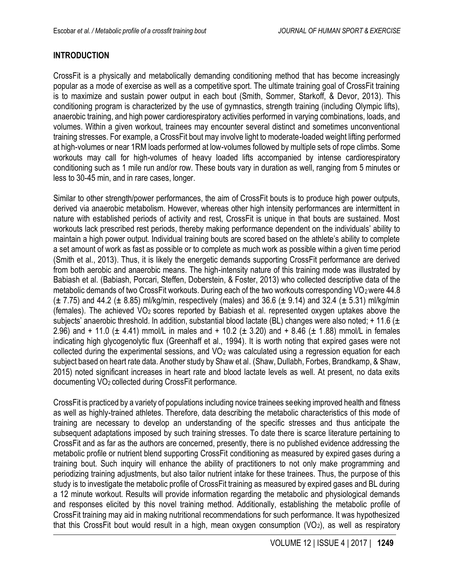# **INTRODUCTION**

CrossFit is a physically and metabolically demanding conditioning method that has become increasingly popular as a mode of exercise as well as a competitive sport. The ultimate training goal of CrossFit training is to maximize and sustain power output in each bout (Smith, Sommer, Starkoff, & Devor, 2013). This conditioning program is characterized by the use of gymnastics, strength training (including Olympic lifts), anaerobic training, and high power cardiorespiratory activities performed in varying combinations, loads, and volumes. Within a given workout, trainees may encounter several distinct and sometimes unconventional training stresses. For example, a CrossFit bout may involve light to moderate-loaded weight lifting performed at high-volumes or near 1RM loads performed at low-volumes followed by multiple sets of rope climbs. Some workouts may call for high-volumes of heavy loaded lifts accompanied by intense cardiorespiratory conditioning such as 1 mile run and/or row. These bouts vary in duration as well, ranging from 5 minutes or less to 30-45 min, and in rare cases, longer.

Similar to other strength/power performances, the aim of CrossFit bouts is to produce high power outputs, derived via anaerobic metabolism. However, whereas other high intensity performances are intermittent in nature with established periods of activity and rest, CrossFit is unique in that bouts are sustained. Most workouts lack prescribed rest periods, thereby making performance dependent on the individuals' ability to maintain a high power output. Individual training bouts are scored based on the athlete's ability to complete a set amount of work as fast as possible or to complete as much work as possible within a given time period (Smith et al., 2013). Thus, it is likely the energetic demands supporting CrossFit performance are derived from both aerobic and anaerobic means. The high-intensity nature of this training mode was illustrated by Babiash et al. [\(Babiash, Porcari, Steffen, Doberstein, & Foster, 2013\)](#page-6-0) who collected descriptive data of the metabolic demands of two CrossFit workouts. During each of the two workouts corresponding VO2 were 44.8  $(\pm 7.75)$  and 44.2 ( $\pm 8.85$ ) ml/kg/min, respectively (males) and 36.6 ( $\pm 9.14$ ) and 32.4 ( $\pm 5.31$ ) ml/kg/min (females). The achieved  $VO<sub>2</sub>$  scores reported by Babiash et al. represented oxygen uptakes above the subjects' anaerobic threshold. In addition, substantial blood lactate (BL) changes were also noted; + 11.6 ( $\pm$ 2.96) and + 11.0 ( $\pm$  4.41) mmol/L in males and + 10.2 ( $\pm$  3.20) and + 8.46 ( $\pm$  1.88) mmol/L in females indicating high glycogenolytic flux (Greenhaff et al., 1994). It is worth noting that expired gases were not collected during the experimental sessions, and  $VO<sub>2</sub>$  was calculated using a regression equation for each subject based on heart rate data. Another study by Shaw et al. (Shaw, Dullabh, Forbes, Brandkamp, & Shaw, 2015) noted significant increases in heart rate and blood lactate levels as well. At present, no data exits documenting VO2 collected during CrossFit performance.

CrossFit is practiced by a variety of populations including novice trainees seeking improved health and fitness as well as highly-trained athletes. Therefore, data describing the metabolic characteristics of this mode of training are necessary to develop an understanding of the specific stresses and thus anticipate the subsequent adaptations imposed by such training stresses. To date there is scarce literature pertaining to CrossFit and as far as the authors are concerned, presently, there is no published evidence addressing the metabolic profile or nutrient blend supporting CrossFit conditioning as measured by expired gases during a training bout. Such inquiry will enhance the ability of practitioners to not only make programming and periodizing training adjustments, but also tailor nutrient intake for these trainees. Thus, the purpose of this study is to investigate the metabolic profile of CrossFit training as measured by expired gases and BL during a 12 minute workout. Results will provide information regarding the metabolic and physiological demands and responses elicited by this novel training method. Additionally, establishing the metabolic profile of CrossFit training may aid in making nutritional recommendations for such performance. It was hypothesized that this CrossFit bout would result in a high, mean oxygen consumption (VO<sub>2</sub>), as well as respiratory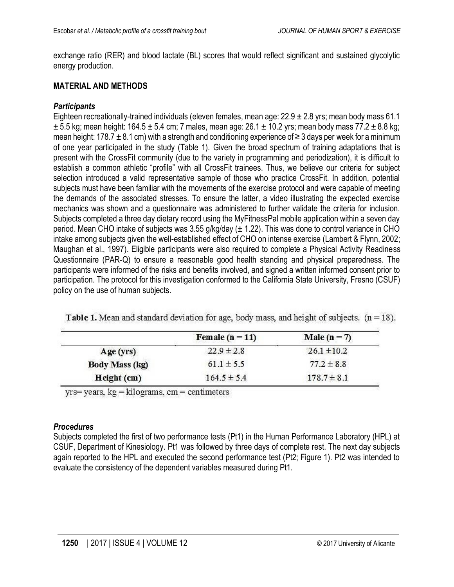exchange ratio (RER) and blood lactate (BL) scores that would reflect significant and sustained glycolytic energy production.

### **MATERIAL AND METHODS**

# *Participants*

Eighteen recreationally-trained individuals (eleven females, mean age: 22.9 ± 2.8 yrs; mean body mass 61.1  $\pm$  5.5 kg; mean height: 164.5  $\pm$  5.4 cm; 7 males, mean age: 26.1  $\pm$  10.2 yrs; mean body mass 77.2  $\pm$  8.8 kg; mean height: 178.7  $\pm$  8.1 cm) with a strength and conditioning experience of  $\geq$  3 days per week for a minimum of one year participated in the study (Table 1). Given the broad spectrum of training adaptations that is present with the CrossFit community (due to the variety in programming and periodization), it is difficult to establish a common athletic "profile" with all CrossFit trainees. Thus, we believe our criteria for subject selection introduced a valid representative sample of those who practice CrossFit. In addition, potential subjects must have been familiar with the movements of the exercise protocol and were capable of meeting the demands of the associated stresses. To ensure the latter, a video illustrating the expected exercise mechanics was shown and a questionnaire was administered to further validate the criteria for inclusion. Subjects completed a three day dietary record using the MyFitnessPal mobile application within a seven day period. Mean CHO intake of subjects was 3.55 g/kg/day (± 1.22). This was done to control variance in CHO intake among subjects given the well-established effect of CHO on intense exercise (Lambert & Flynn, 2002; Maughan et al., 1997). Eligible participants were also required to complete a Physical Activity Readiness Questionnaire (PAR-Q) to ensure a reasonable good health standing and physical preparedness. The participants were informed of the risks and benefits involved, and signed a written informed consent prior to participation. The protocol for this investigation conformed to the California State University, Fresno (CSUF) policy on the use of human subjects.

|                       | Female ( $n = 11$ ) | Male ( $n = 7$ ) |  |
|-----------------------|---------------------|------------------|--|
| Age (yrs)             | $22.9 \pm 2.8$      | $26.1 \pm 10.2$  |  |
| <b>Body Mass (kg)</b> | $61.1 \pm 5.5$      | $77.2 \pm 8.8$   |  |
| Height (cm)           | $164.5 \pm 5.4$     | $178.7 \pm 8.1$  |  |

**Table 1.** Mean and standard deviation for age, body mass, and height of subjects.  $(n = 18)$ .

 $yrs = years$ ,  $kg = kilograms$ ,  $cm = centimeters$ 

#### *Procedures*

Subjects completed the first of two performance tests (Pt1) in the Human Performance Laboratory (HPL) at CSUF, Department of Kinesiology. Pt1 was followed by three days of complete rest. The next day subjects again reported to the HPL and executed the second performance test (Pt2; Figure 1). Pt2 was intended to evaluate the consistency of the dependent variables measured during Pt1.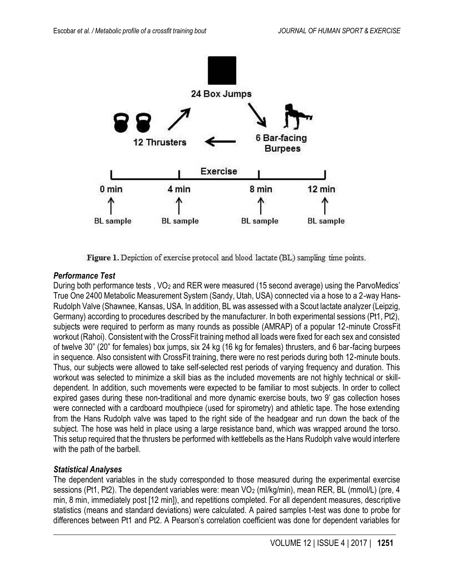

Figure 1. Depiction of exercise protocol and blood lactate (BL) sampling time points.

# *Performance Test*

During both performance tests, VO<sub>2</sub> and RER were measured (15 second average) using the ParvoMedics' True One 2400 Metabolic Measurement System (Sandy, Utah, USA) connected via a hose to a 2-way Hans-Rudolph Valve (Shawnee, Kansas, USA. In addition, BL was assessed with a Scout lactate analyzer (Leipzig, Germany) according to procedures described by the manufacturer. In both experimental sessions (Pt1, Pt2), subjects were required to perform as many rounds as possible (AMRAP) of a popular 12-minute CrossFit workout (Rahoi). Consistent with the CrossFit training method all loads were fixed for each sex and consisted of twelve 30" (20" for females) box jumps, six 24 kg (16 kg for females) thrusters, and 6 bar-facing burpees in sequence. Also consistent with CrossFit training, there were no rest periods during both 12-minute bouts. Thus, our subjects were allowed to take self-selected rest periods of varying frequency and duration. This workout was selected to minimize a skill bias as the included movements are not highly technical or skilldependent. In addition, such movements were expected to be familiar to most subjects. In order to collect expired gases during these non-traditional and more dynamic exercise bouts, two 9' gas collection hoses were connected with a cardboard mouthpiece (used for spirometry) and athletic tape. The hose extending from the Hans Rudolph valve was taped to the right side of the headgear and run down the back of the subject. The hose was held in place using a large resistance band, which was wrapped around the torso. This setup required that the thrusters be performed with kettlebells as the Hans Rudolph valve would interfere with the path of the barbell.

#### *Statistical Analyses*

The dependent variables in the study corresponded to those measured during the experimental exercise sessions (Pt1, Pt2). The dependent variables were: mean VO<sub>2</sub> (ml/kg/min), mean RER, BL (mmol/L) (pre, 4 min, 8 min, immediately post [12 min]), and repetitions completed. For all dependent measures, descriptive statistics (means and standard deviations) were calculated. A paired samples t-test was done to probe for differences between Pt1 and Pt2. A Pearson's correlation coefficient was done for dependent variables for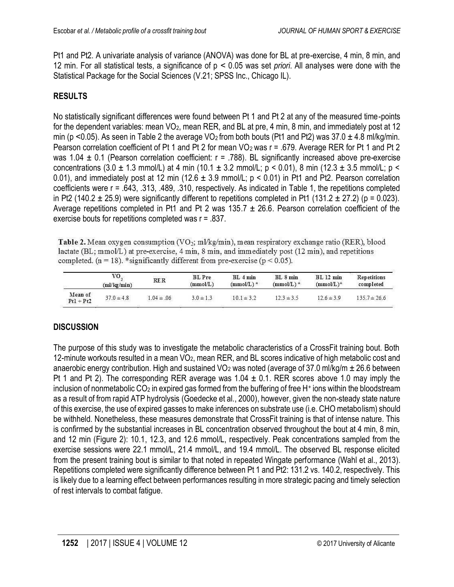Pt1 and Pt2. A univariate analysis of variance (ANOVA) was done for BL at pre-exercise, 4 min, 8 min, and 12 min. For all statistical tests, a significance of p ˂ 0.05 was set *priori*. All analyses were done with the Statistical Package for the Social Sciences (V.21; SPSS Inc., Chicago IL).

# **RESULTS**

No statistically significant differences were found between Pt 1 and Pt 2 at any of the measured time-points for the dependent variables: mean VO<sub>2</sub>, mean RER, and BL at pre, 4 min, 8 min, and immediately post at 12 min (p <0.05). As seen in Table 2 the average VO<sub>2</sub> from both bouts (Pt1 and Pt2) was  $37.0 \pm 4.8$  ml/kg/min. Pearson correlation coefficient of Pt 1 and Pt 2 for mean  $VO<sub>2</sub>$  was r = .679. Average RER for Pt 1 and Pt 2 was 1.04  $\pm$  0.1 (Pearson correlation coefficient:  $r = .788$ ). BL significantly increased above pre-exercise concentrations (3.0  $\pm$  1.3 mmol/L) at 4 min (10.1  $\pm$  3.2 mmol/L; p < 0.01), 8 min (12.3  $\pm$  3.5 mmol/L; p < 0.01), and immediately post at 12 min (12.6  $\pm$  3.9 mmol/L; p < 0.01) in Pt1 and Pt2. Pearson correlation coefficients were r = .643, .313, .489, .310, respectively. As indicated in Table 1, the repetitions completed in Pt2 (140.2  $\pm$  25.9) were significantly different to repetitions completed in Pt1 (131.2  $\pm$  27.2) (p = 0.023). Average repetitions completed in Pt1 and Pt 2 was  $135.7 \pm 26.6$ . Pearson correlation coefficient of the exercise bouts for repetitions completed was r = .837.

Table 2. Mean oxygen consumption (VO<sub>2</sub>; ml/kg/min), mean respiratory exchange ratio (RER), blood lactate (BL; mmol/L) at pre-exercise, 4 min, 8 min, and immediately post (12 min), and repetitions completed. ( $n = 18$ ). \*significantly different from pre-exercise ( $p < 0.05$ ).

|                        | VO.<br>$m\log(\min)$ | RER            | <b>BL</b> Pre<br>(mmol/L) | $BL$ 4 $min$<br>$(mmol/L)^*$ | $BL_8$ min<br>$(mmol/L)^*$ | BL 12 min<br>$(mmol/L)^*$ | <b>Repetitions</b><br>completed |
|------------------------|----------------------|----------------|---------------------------|------------------------------|----------------------------|---------------------------|---------------------------------|
| Mean of<br>$Pt1 + Pt2$ | $37.0 \pm 4.8$       | $1.04 \pm .06$ | $3.0 \pm 1.3$             | $10.1 \pm 3.2$               | $12.3 \pm 3.5$             | $12.6 \pm 3.9$            | $135.7 \pm 26.6$                |

# **DISCUSSION**

The purpose of this study was to investigate the metabolic characteristics of a CrossFit training bout. Both 12-minute workouts resulted in a mean VO2, mean RER, and BL scores indicative of high metabolic cost and anaerobic energy contribution. High and sustained VO<sub>2</sub> was noted (average of 37.0 ml/kg/m  $\pm$  26.6 between Pt 1 and Pt 2). The corresponding RER average was  $1.04 \pm 0.1$ . RER scores above 1.0 may imply the inclusion of nonmetabolic CO<sub>2</sub> in expired gas formed from the buffering of free H<sup>+</sup> ions within the bloodstream as a result of from rapid ATP hydrolysis (Goedecke et al., 2000), however, given the non-steady state nature of this exercise, the use of expired gasses to make inferences on substrate use (i.e. CHO metabolism) should be withheld. Nonetheless, these measures demonstrate that CrossFit training is that of intense nature. This is confirmed by the substantial increases in BL concentration observed throughout the bout at 4 min, 8 min, and 12 min (Figure 2): 10.1, 12.3, and 12.6 mmol/L, respectively. Peak concentrations sampled from the exercise sessions were 22.1 mmol/L, 21.4 mmol/L, and 19.4 mmol/L. The observed BL response elicited from the present training bout is similar to that noted in repeated Wingate performance (Wahl et al., 2013). Repetitions completed were significantly difference between Pt 1 and Pt2: 131.2 vs. 140.2, respectively. This is likely due to a learning effect between performances resulting in more strategic pacing and timely selection of rest intervals to combat fatigue.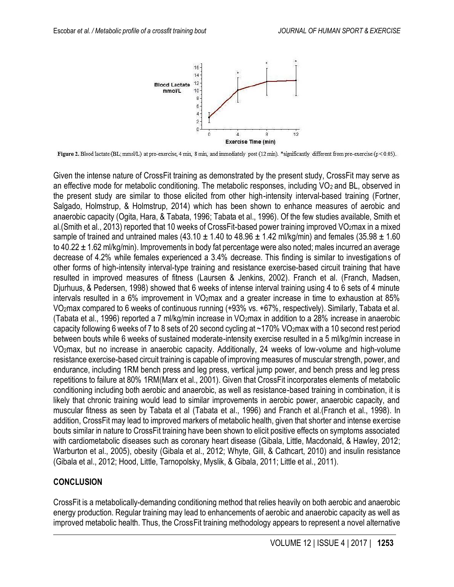

Figure 2. Blood lactate (BL; mmol/L) at pre-exercise, 4 min, 8 min, and immediately post (12 min). \*significantly different from pre-exercise (p < 0.05).

Given the intense nature of CrossFit training as demonstrated by the present study, CrossFit may serve as an effective mode for metabolic conditioning. The metabolic responses, including VO<sub>2</sub> and BL, observed in the present study are similar to those elicited from other high-intensity interval-based training (Fortner, Salgado, Holmstrup, & Holmstrup, 2014) which has been shown to enhance measures of aerobic and anaerobic capacity (Ogita, Hara, & Tabata, 1996; Tabata et al., 1996). Of the few studies available, Smith et al. (Smith et al., 2013) reported that 10 weeks of CrossFit-based power training improved VO2max in a mixed sample of trained and untrained males (43.10  $\pm$  1.40 to 48.96  $\pm$  1.42 ml/kg/min) and females (35.98  $\pm$  1.60 to 40.22  $\pm$  1.62 ml/kg/min). Improvements in body fat percentage were also noted; males incurred an average decrease of 4.2% while females experienced a 3.4% decrease. This finding is similar to investigations of other forms of high-intensity interval-type training and resistance exercise-based circuit training that have resulted in improved measures of fitness (Laursen & Jenkins, 2002). Franch et al. (Franch, Madsen, Djurhuus, & Pedersen, 1998) showed that 6 weeks of intense interval training using 4 to 6 sets of 4 minute intervals resulted in a 6% improvement in VO<sub>2</sub>max and a greater increase in time to exhaustion at 85% VO2max compared to 6 weeks of continuous running (+93% vs. +67%, respectively). Similarly, Tabata et al. (Tabata et al., 1996) reported a 7 ml/kg/min increase in VO2max in addition to a 28% increase in anaerobic capacity following 6 weeks of 7 to 8 sets of 20 second cycling at ~170% VO2max with a 10 second rest period between bouts while 6 weeks of sustained moderate-intensity exercise resulted in a 5 ml/kg/min increase in VO2max, but no increase in anaerobic capacity. Additionally, 24 weeks of low-volume and high-volume resistance exercise-based circuit training is capable of improving measures of muscular strength, power, and endurance, including 1RM bench press and leg press, vertical jump power, and bench press and leg press repetitions to failure at 80% 1RM(Marx et al., 2001). Given that CrossFit incorporates elements of metabolic conditioning including both aerobic and anaerobic, as well as resistance-based training in combination, it is likely that chronic training would lead to similar improvements in aerobic power, anaerobic capacity, and muscular fitness as seen by Tabata et al (Tabata et al., 1996) and Franch et al.(Franch et al., 1998). In addition, CrossFit may lead to improved markers of metabolic health, given that shorter and intense exercise bouts similar in nature to CrossFit training have been shown to elicit positive effects on symptoms associated with cardiometabolic diseases such as coronary heart disease (Gibala, Little, Macdonald, & Hawley, 2012; Warburton et al., 2005), obesity (Gibala et al., 2012; Whyte, Gill, & Cathcart, 2010) and insulin resistance (Gibala et al., 2012; Hood, Little, Tarnopolsky, Myslik, & Gibala, 2011; Little et al., 2011).

#### **CONCLUSION**

CrossFit is a metabolically-demanding conditioning method that relies heavily on both aerobic and anaerobic energy production. Regular training may lead to enhancements of aerobic and anaerobic capacity as well as improved metabolic health. Thus, the CrossFit training methodology appears to represent a novel alternative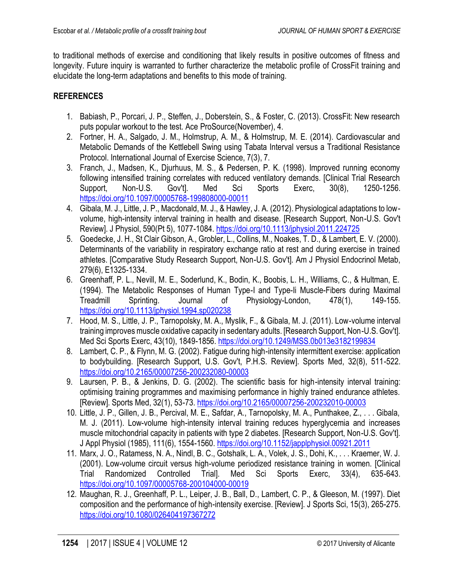to traditional methods of exercise and conditioning that likely results in positive outcomes of fitness and longevity. Future inquiry is warranted to further characterize the metabolic profile of CrossFit training and elucidate the long-term adaptations and benefits to this mode of training.

#### **REFERENCES**

- <span id="page-6-0"></span>1. Babiash, P., Porcari, J. P., Steffen, J., Doberstein, S., & Foster, C. (2013). CrossFit: New research puts popular workout to the test. Ace ProSource(November), 4.
- 2. Fortner, H. A., Salgado, J. M., Holmstrup, A. M., & Holmstrup, M. E. (2014). Cardiovascular and Metabolic Demands of the Kettlebell Swing using Tabata Interval versus a Traditional Resistance Protocol. International Journal of Exercise Science, 7(3), 7.
- 3. Franch, J., Madsen, K., Djurhuus, M. S., & Pedersen, P. K. (1998). Improved running economy following intensified training correlates with reduced ventilatory demands. [Clinical Trial Research Support, Non-U.S. Gov't]. Med Sci Sports Exerc, 30(8), 1250-1256. <https://doi.org/10.1097/00005768-199808000-00011>
- 4. Gibala, M. J., Little, J. P., Macdonald, M. J., & Hawley, J. A. (2012). Physiological adaptations to lowvolume, high-intensity interval training in health and disease. [Research Support, Non-U.S. Gov't Review]. J Physiol, 590(Pt 5), 1077-1084[. https://doi.org/10.1113/jphysiol.2011.224725](https://doi.org/10.1113/jphysiol.2011.224725)
- 5. Goedecke, J. H., St Clair Gibson, A., Grobler, L., Collins, M., Noakes, T. D., & Lambert, E. V. (2000). Determinants of the variability in respiratory exchange ratio at rest and during exercise in trained athletes. [Comparative Study Research Support, Non-U.S. Gov't]. Am J Physiol Endocrinol Metab, 279(6), E1325-1334.
- 6. Greenhaff, P. L., Nevill, M. E., Soderlund, K., Bodin, K., Boobis, L. H., Williams, C., & Hultman, E. (1994). The Metabolic Responses of Human Type-I and Type-Ii Muscle-Fibers during Maximal Treadmill Sprinting. Journal of Physiology-London, 478(1), 149-155. <https://doi.org/10.1113/jphysiol.1994.sp020238>
- 7. Hood, M. S., Little, J. P., Tarnopolsky, M. A., Myslik, F., & Gibala, M. J. (2011). Low-volume interval training improves muscle oxidative capacity in sedentary adults. [Research Support, Non-U.S. Gov't]. Med Sci Sports Exerc, 43(10), 1849-1856.<https://doi.org/10.1249/MSS.0b013e3182199834>
- 8. Lambert, C. P., & Flynn, M. G. (2002). Fatigue during high-intensity intermittent exercise: application to bodybuilding. [Research Support, U.S. Gov't, P.H.S. Review]. Sports Med, 32(8), 511-522. <https://doi.org/10.2165/00007256-200232080-00003>
- 9. Laursen, P. B., & Jenkins, D. G. (2002). The scientific basis for high-intensity interval training: optimising training programmes and maximising performance in highly trained endurance athletes. [Review]. Sports Med, 32(1), 53-73.<https://doi.org/10.2165/00007256-200232010-00003>
- 10. Little, J. P., Gillen, J. B., Percival, M. E., Safdar, A., Tarnopolsky, M. A., Punthakee, Z., . . . Gibala, M. J. (2011). Low-volume high-intensity interval training reduces hyperglycemia and increases muscle mitochondrial capacity in patients with type 2 diabetes. [Research Support, Non-U.S. Gov't]. J Appl Physiol (1985), 111(6), 1554-1560[. https://doi.org/10.1152/japplphysiol.00921.2011](https://doi.org/10.1152/japplphysiol.00921.2011)
- 11. Marx, J. O., Ratamess, N. A., Nindl, B. C., Gotshalk, L. A., Volek, J. S., Dohi, K., . . . Kraemer, W. J. (2001). Low-volume circuit versus high-volume periodized resistance training in women. [Clinical Trial Randomized Controlled Trial]. Med Sci Sports Exerc, 33(4), 635-643. <https://doi.org/10.1097/00005768-200104000-00019>
- 12. Maughan, R. J., Greenhaff, P. L., Leiper, J. B., Ball, D., Lambert, C. P., & Gleeson, M. (1997). Diet composition and the performance of high-intensity exercise. [Review]. J Sports Sci, 15(3), 265-275. <https://doi.org/10.1080/026404197367272>